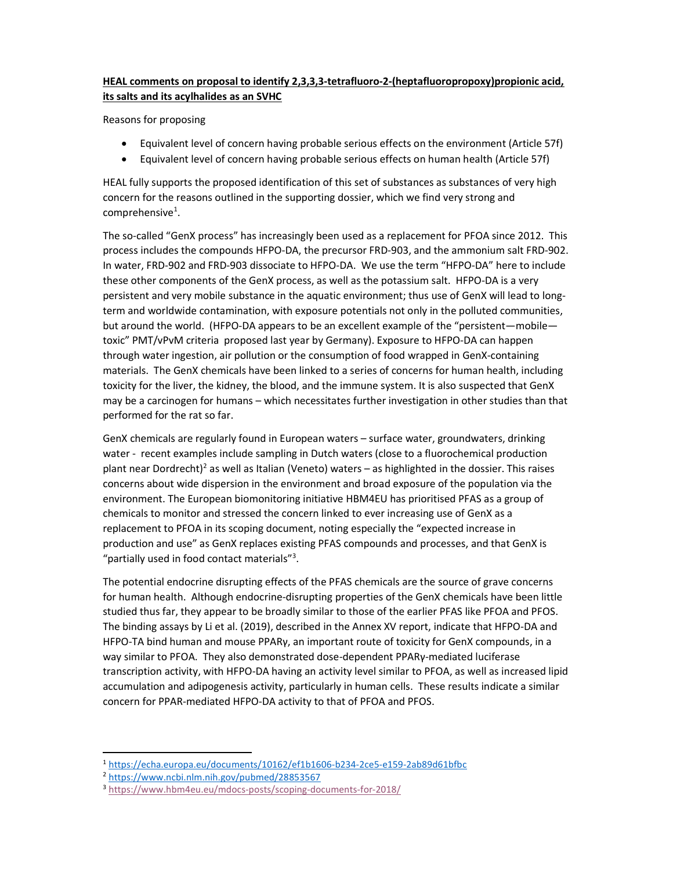## HEAL comments on proposal to identify 2,3,3,3-tetrafluoro-2-(heptafluoropropoxy)propionic acid, its salts and its acylhalides as an SVHC

Reasons for proposing

- Equivalent level of concern having probable serious effects on the environment (Article 57f)
- Equivalent level of concern having probable serious effects on human health (Article 57f)

HEAL fully supports the proposed identification of this set of substances as substances of very high concern for the reasons outlined in the supporting dossier, which we find very strong and comprehensive<sup>1</sup>.

The so-called "GenX process" has increasingly been used as a replacement for PFOA since 2012. This process includes the compounds HFPO-DA, the precursor FRD-903, and the ammonium salt FRD-902. In water, FRD-902 and FRD-903 dissociate to HFPO-DA. We use the term "HFPO-DA" here to include these other components of the GenX process, as well as the potassium salt. HFPO-DA is a very persistent and very mobile substance in the aquatic environment; thus use of GenX will lead to longterm and worldwide contamination, with exposure potentials not only in the polluted communities, but around the world. (HFPO-DA appears to be an excellent example of the "persistent—mobile toxic" PMT/vPvM criteria proposed last year by Germany). Exposure to HFPO-DA can happen through water ingestion, air pollution or the consumption of food wrapped in GenX-containing materials. The GenX chemicals have been linked to a series of concerns for human health, including toxicity for the liver, the kidney, the blood, and the immune system. It is also suspected that GenX may be a carcinogen for humans – which necessitates further investigation in other studies than that performed for the rat so far.

GenX chemicals are regularly found in European waters – surface water, groundwaters, drinking water - recent examples include sampling in Dutch waters (close to a fluorochemical production plant near Dordrecht)<sup>2</sup> as well as Italian (Veneto) waters - as highlighted in the dossier. This raises concerns about wide dispersion in the environment and broad exposure of the population via the environment. The European biomonitoring initiative HBM4EU has prioritised PFAS as a group of chemicals to monitor and stressed the concern linked to ever increasing use of GenX as a replacement to PFOA in its scoping document, noting especially the "expected increase in production and use" as GenX replaces existing PFAS compounds and processes, and that GenX is "partially used in food contact materials"<sup>3</sup>.

The potential endocrine disrupting effects of the PFAS chemicals are the source of grave concerns for human health. Although endocrine-disrupting properties of the GenX chemicals have been little studied thus far, they appear to be broadly similar to those of the earlier PFAS like PFOA and PFOS. The binding assays by Li et al. (2019), described in the Annex XV report, indicate that HFPO-DA and HFPO-TA bind human and mouse PPARγ, an important route of toxicity for GenX compounds, in a way similar to PFOA. They also demonstrated dose-dependent PPARγ-mediated luciferase transcription activity, with HFPO-DA having an activity level similar to PFOA, as well as increased lipid accumulation and adipogenesis activity, particularly in human cells. These results indicate a similar concern for PPAR-mediated HFPO-DA activity to that of PFOA and PFOS.

-

<sup>1</sup> https://echa.europa.eu/documents/10162/ef1b1606-b234-2ce5-e159-2ab89d61bfbc

<sup>2</sup> https://www.ncbi.nlm.nih.gov/pubmed/28853567

<sup>3</sup> https://www.hbm4eu.eu/mdocs-posts/scoping-documents-for-2018/